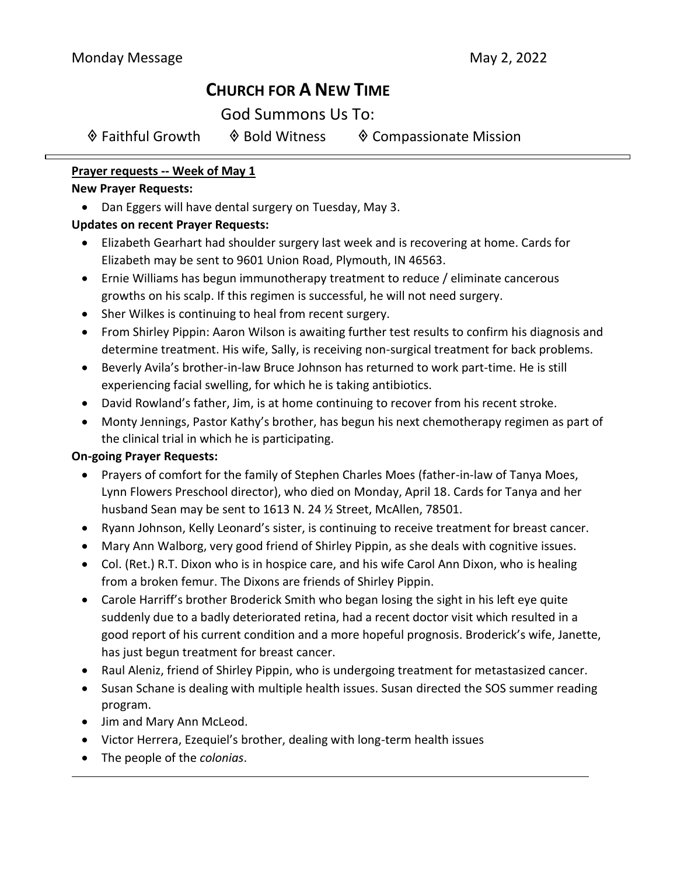# **CHURCH FOR A NEW TIME**

God Summons Us To:

| ♦ Faithful Growth | ♦ Bold Witness | ♦ Compassionate Mission |
|-------------------|----------------|-------------------------|
|-------------------|----------------|-------------------------|

## **Prayer requests -- Week of May 1**

## **New Prayer Requests:**

• Dan Eggers will have dental surgery on Tuesday, May 3.

# **Updates on recent Prayer Requests:**

- Elizabeth Gearhart had shoulder surgery last week and is recovering at home. Cards for Elizabeth may be sent to 9601 Union Road, Plymouth, IN 46563.
- Ernie Williams has begun immunotherapy treatment to reduce / eliminate cancerous growths on his scalp. If this regimen is successful, he will not need surgery.
- Sher Wilkes is continuing to heal from recent surgery.
- From Shirley Pippin: Aaron Wilson is awaiting further test results to confirm his diagnosis and determine treatment. His wife, Sally, is receiving non-surgical treatment for back problems.
- Beverly Avila's brother-in-law Bruce Johnson has returned to work part-time. He is still experiencing facial swelling, for which he is taking antibiotics.
- David Rowland's father, Jim, is at home continuing to recover from his recent stroke.
- Monty Jennings, Pastor Kathy's brother, has begun his next chemotherapy regimen as part of the clinical trial in which he is participating.

# **On-going Prayer Requests:**

- Prayers of comfort for the family of Stephen Charles Moes (father-in-law of Tanya Moes, Lynn Flowers Preschool director), who died on Monday, April 18. Cards for Tanya and her husband Sean may be sent to 1613 N. 24 ½ Street, McAllen, 78501.
- Ryann Johnson, Kelly Leonard's sister, is continuing to receive treatment for breast cancer.
- Mary Ann Walborg, very good friend of Shirley Pippin, as she deals with cognitive issues.
- Col. (Ret.) R.T. Dixon who is in hospice care, and his wife Carol Ann Dixon, who is healing from a broken femur. The Dixons are friends of Shirley Pippin.
- Carole Harriff's brother Broderick Smith who began losing the sight in his left eye quite suddenly due to a badly deteriorated retina, had a recent doctor visit which resulted in a good report of his current condition and a more hopeful prognosis. Broderick's wife, Janette, has just begun treatment for breast cancer.
- Raul Aleniz, friend of Shirley Pippin, who is undergoing treatment for metastasized cancer.
- Susan Schane is dealing with multiple health issues. Susan directed the SOS summer reading program.
- Jim and Mary Ann McLeod.
- Victor Herrera, Ezequiel's brother, dealing with long-term health issues
- The people of the *colonias*.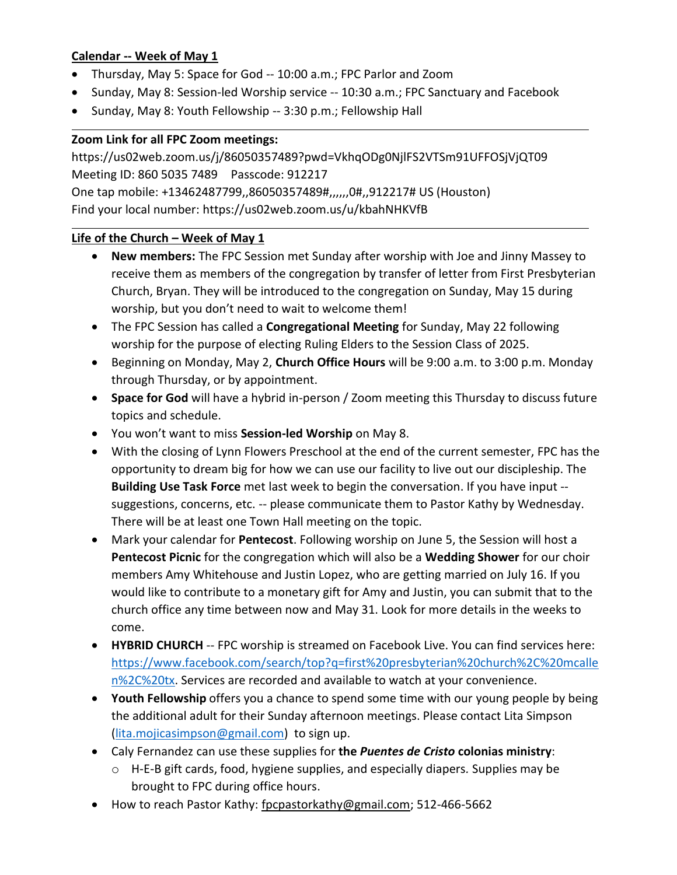## **Calendar -- Week of May 1**

- Thursday, May 5: Space for God -- 10:00 a.m.; FPC Parlor and Zoom
- Sunday, May 8: Session-led Worship service -- 10:30 a.m.; FPC Sanctuary and Facebook
- Sunday, May 8: Youth Fellowship -- 3:30 p.m.; Fellowship Hall

## **Zoom Link for all FPC Zoom meetings:**

https://us02web.zoom.us/j/86050357489?pwd=VkhqODg0NjlFS2VTSm91UFFOSjVjQT09 Meeting ID: 860 5035 7489 Passcode: 912217 One tap mobile: +13462487799,,86050357489#,,,,,,0#,,912217# US (Houston) Find your local number: https://us02web.zoom.us/u/kbahNHKVfB

#### **Life of the Church – Week of May 1**

- **New members:** The FPC Session met Sunday after worship with Joe and Jinny Massey to receive them as members of the congregation by transfer of letter from First Presbyterian Church, Bryan. They will be introduced to the congregation on Sunday, May 15 during worship, but you don't need to wait to welcome them!
- The FPC Session has called a **Congregational Meeting** for Sunday, May 22 following worship for the purpose of electing Ruling Elders to the Session Class of 2025.
- Beginning on Monday, May 2, **Church Office Hours** will be 9:00 a.m. to 3:00 p.m. Monday through Thursday, or by appointment.
- **Space for God** will have a hybrid in-person / Zoom meeting this Thursday to discuss future topics and schedule.
- You won't want to miss **Session-led Worship** on May 8.
- With the closing of Lynn Flowers Preschool at the end of the current semester, FPC has the opportunity to dream big for how we can use our facility to live out our discipleship. The **Building Use Task Force** met last week to begin the conversation. If you have input - suggestions, concerns, etc. -- please communicate them to Pastor Kathy by Wednesday. There will be at least one Town Hall meeting on the topic.
- Mark your calendar for **Pentecost**. Following worship on June 5, the Session will host a **Pentecost Picnic** for the congregation which will also be a **Wedding Shower** for our choir members Amy Whitehouse and Justin Lopez, who are getting married on July 16. If you would like to contribute to a monetary gift for Amy and Justin, you can submit that to the church office any time between now and May 31. Look for more details in the weeks to come.
- **HYBRID CHURCH** -- FPC worship is streamed on Facebook Live. You can find services here: [https://www.facebook.com/search/top?q=first%20presbyterian%20church%2C%20mcalle](https://www.facebook.com/search/top?q=first%20presbyterian%20church%2C%20mcallen%2C%20tx) [n%2C%20tx.](https://www.facebook.com/search/top?q=first%20presbyterian%20church%2C%20mcallen%2C%20tx) Services are recorded and available to watch at your convenience.
- **Youth Fellowship** offers you a chance to spend some time with our young people by being the additional adult for their Sunday afternoon meetings. Please contact Lita Simpson [\(lita.mojicasimpson@gmail.com\)](mailto:lita.mojicasimpson@gmail.com) to sign up.
- Caly Fernandez can use these supplies for **the** *Puentes de Cristo* **colonias ministry**:
	- o H-E-B gift cards, food, hygiene supplies, and especially diapers*.* Supplies may be brought to FPC during office hours.
- How to reach Pastor Kathy: [fpcpastorkathy@gmail.com;](mailto:fpcpastorkathy@gmail.com) 512-466-5662